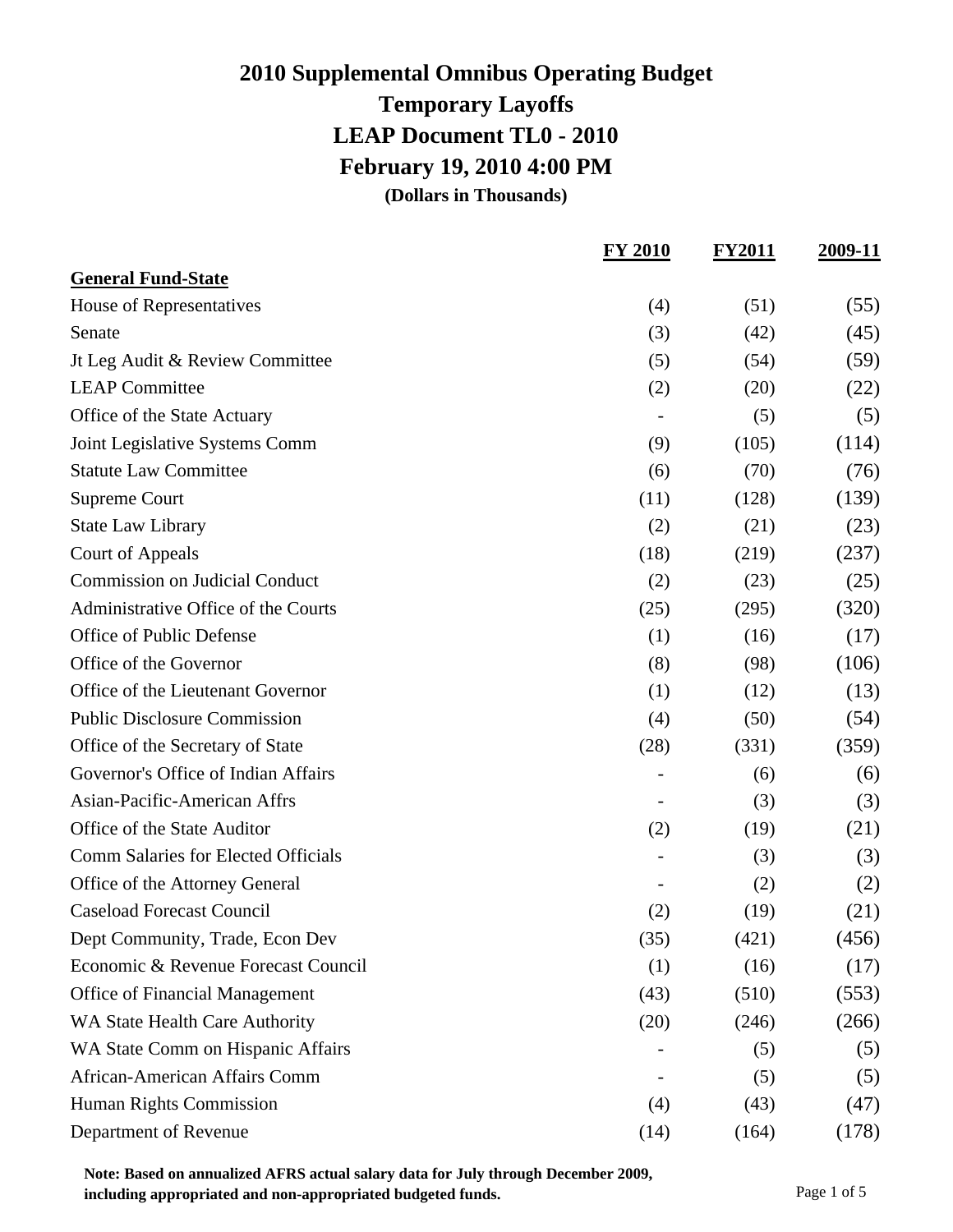### **2010 Supplemental Omnibus Operating Budget Temporary Layoffs LEAP Document TL0 - 2010 February 19, 2010 4:00 PM (Dollars in Thousands)**

|                                       | <b>FY 2010</b> | <b>FY2011</b> | 2009-11 |
|---------------------------------------|----------------|---------------|---------|
| <b>General Fund-State</b>             |                |               |         |
| House of Representatives              | (4)            | (51)          | (55)    |
| Senate                                | (3)            | (42)          | (45)    |
| Jt Leg Audit & Review Committee       | (5)            | (54)          | (59)    |
| <b>LEAP Committee</b>                 | (2)            | (20)          | (22)    |
| Office of the State Actuary           |                | (5)           | (5)     |
| Joint Legislative Systems Comm        | (9)            | (105)         | (114)   |
| <b>Statute Law Committee</b>          | (6)            | (70)          | (76)    |
| <b>Supreme Court</b>                  | (11)           | (128)         | (139)   |
| <b>State Law Library</b>              | (2)            | (21)          | (23)    |
| <b>Court of Appeals</b>               | (18)           | (219)         | (237)   |
| <b>Commission on Judicial Conduct</b> | (2)            | (23)          | (25)    |
| Administrative Office of the Courts   | (25)           | (295)         | (320)   |
| Office of Public Defense              | (1)            | (16)          | (17)    |
| Office of the Governor                | (8)            | (98)          | (106)   |
| Office of the Lieutenant Governor     | (1)            | (12)          | (13)    |
| <b>Public Disclosure Commission</b>   | (4)            | (50)          | (54)    |
| Office of the Secretary of State      | (28)           | (331)         | (359)   |
| Governor's Office of Indian Affairs   |                | (6)           | (6)     |
| Asian-Pacific-American Affrs          |                | (3)           | (3)     |
| Office of the State Auditor           | (2)            | (19)          | (21)    |
| Comm Salaries for Elected Officials   |                | (3)           | (3)     |
| Office of the Attorney General        |                | (2)           | (2)     |
| <b>Caseload Forecast Council</b>      | (2)            | (19)          | (21)    |
| Dept Community, Trade, Econ Dev       | (35)           | (421)         | (456)   |
| Economic & Revenue Forecast Council   | (1)            | (16)          | (17)    |
| Office of Financial Management        | (43)           | (510)         | (553)   |
| WA State Health Care Authority        | (20)           | (246)         | (266)   |
| WA State Comm on Hispanic Affairs     |                | (5)           | (5)     |
| African-American Affairs Comm         |                | (5)           | (5)     |
| <b>Human Rights Commission</b>        | (4)            | (43)          | (47)    |
| Department of Revenue                 | (14)           | (164)         | (178)   |

**Note: Based on annualized AFRS actual salary data for July through December 2009, including appropriated and non-appropriated budgeted funds.** Page 1 of 5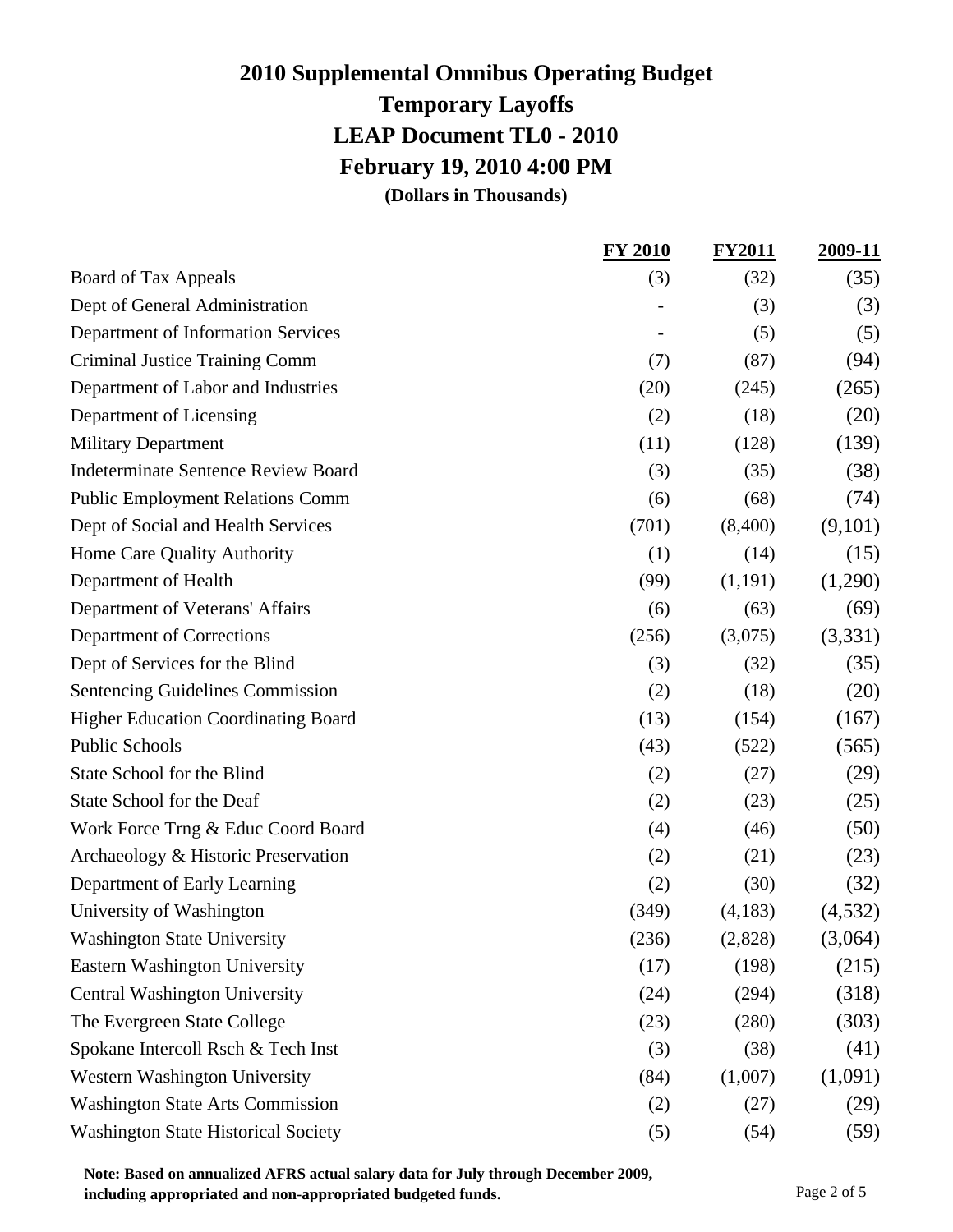### **2010 Supplemental Omnibus Operating Budget Temporary Layoffs LEAP Document TL0 - 2010 February 19, 2010 4:00 PM (Dollars in Thousands)**

**FY 2010 FY2011 2009-11** Board of Tax Appeals (3) (32) (35) Dept of General Administration (3) (3) Department of Information Services (5) (5) (5) Criminal Justice Training Comm (7) (87) (94) Department of Labor and Industries (20) (245) (265) Department of Licensing  $(2)$  (18)  $(20)$ Military Department (11) (128) (139) Indeterminate Sentence Review Board (3) (35) (38) Public Employment Relations Comm (6) (68) (74) Dept of Social and Health Services (701) (8,400) (9,101) Home Care Quality Authority (1) (14) (15) Department of Health  $(99)$   $(1,191)$   $(1,290)$ Department of Veterans' Affairs (6) (63) (69) Department of Corrections (256) (3,075) (3,331) Dept of Services for the Blind  $(3)$   $(32)$   $(35)$ Sentencing Guidelines Commission (2) (18) (20) Higher Education Coordinating Board (13) (154) (167) Public Schools  $(43)$   $(522)$   $(565)$ State School for the Blind  $(2)$   $(27)$   $(29)$ State School for the Deaf  $(2)$   $(23)$   $(25)$ Work Force Trng & Educ Coord Board (4) (50) (50) Archaeology & Historic Preservation (2) (21) (23) Department of Early Learning (2) (30) (32) University of Washington  $(349)$   $(4,183)$   $(4,532)$ Washington State University (236) (2,828) (3,064) Eastern Washington University (17) (198) (215) Central Washington University (24) (294) (318) The Evergreen State College (23) (280) (303) Spokane Intercoll Rsch & Tech Inst (3)  $(3)$  (38)  $(41)$ Western Washington University (84) (1,007) (1,091) Washington State Arts Commission (2) (27) (29) Washington State Historical Society (5) (54) (59)

**Note: Based on annualized AFRS actual salary data for July through December 2009, including appropriated and non-appropriated budgeted funds.** Page 2 of 5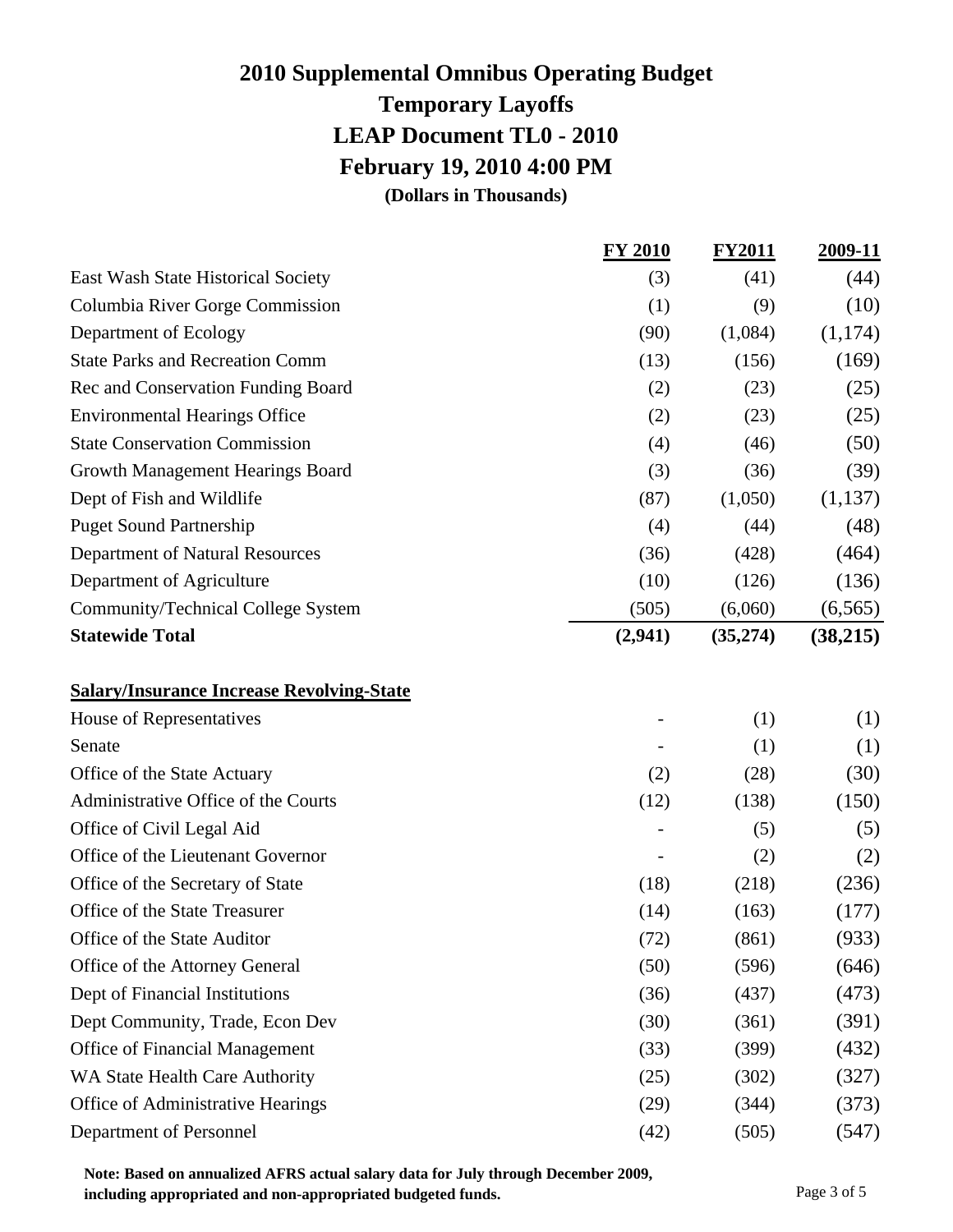# **2010 Supplemental Omnibus Operating Budget Temporary Layoffs LEAP Document TL0 - 2010 February 19, 2010 4:00 PM**

**(Dollars in Thousands)**

|                                                  | <b>FY 2010</b> | <b>FY2011</b> | <u>2009-11</u> |
|--------------------------------------------------|----------------|---------------|----------------|
| East Wash State Historical Society               | (3)            | (41)          | (44)           |
| Columbia River Gorge Commission                  | (1)            | (9)           | (10)           |
| Department of Ecology                            | (90)           | (1,084)       | (1,174)        |
| <b>State Parks and Recreation Comm</b>           | (13)           | (156)         | (169)          |
| Rec and Conservation Funding Board               | (2)            | (23)          | (25)           |
| <b>Environmental Hearings Office</b>             | (2)            | (23)          | (25)           |
| <b>State Conservation Commission</b>             | (4)            | (46)          | (50)           |
| Growth Management Hearings Board                 | (3)            | (36)          | (39)           |
| Dept of Fish and Wildlife                        | (87)           | (1,050)       | (1,137)        |
| <b>Puget Sound Partnership</b>                   | (4)            | (44)          | (48)           |
| <b>Department of Natural Resources</b>           | (36)           | (428)         | (464)          |
| Department of Agriculture                        | (10)           | (126)         | (136)          |
| Community/Technical College System               | (505)          | (6,060)       | (6, 565)       |
| <b>Statewide Total</b>                           | (2,941)        | (35,274)      | (38,215)       |
| <b>Salary/Insurance Increase Revolving-State</b> |                |               |                |
| House of Representatives                         |                | (1)           | (1)            |
| Senate                                           |                | (1)           | (1)            |
| Office of the State Actuary                      | (2)            | (28)          | (30)           |
| Administrative Office of the Courts              | (12)           | (138)         | (150)          |
| Office of Civil Legal Aid                        |                | (5)           | (5)            |
| Office of the Lieutenant Governor                |                | (2)           | (2)            |
| Office of the Secretary of State                 | (18)           | (218)         | (236)          |
| Office of the State Treasurer                    | (14)           | (163)         | (177)          |
| Office of the State Auditor                      | (72)           | (861)         | (933)          |
| Office of the Attorney General                   | (50)           | (596)         | (646)          |
| Dept of Financial Institutions                   | (36)           | (437)         | (473)          |
| Dept Community, Trade, Econ Dev                  | (30)           | (361)         | (391)          |
| <b>Office of Financial Management</b>            | (33)           | (399)         | (432)          |
| WA State Health Care Authority                   | (25)           | (302)         | (327)          |
| Office of Administrative Hearings                | (29)           | (344)         | (373)          |
| Department of Personnel                          | (42)           | (505)         | (547)          |

**Note: Based on annualized AFRS actual salary data for July through December 2009, including appropriated and non-appropriated budgeted funds.** Page 3 of 5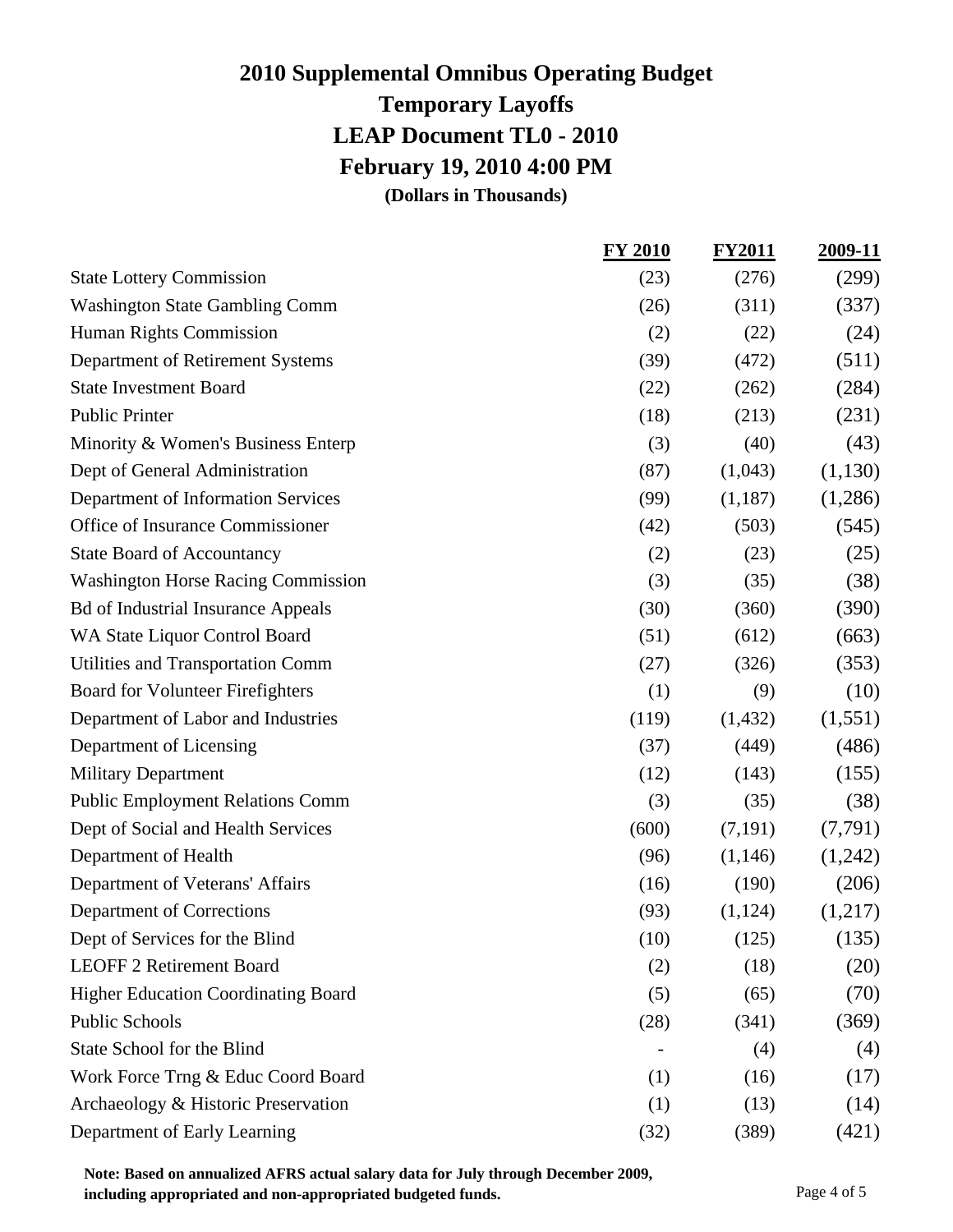### **2010 Supplemental Omnibus Operating Budget Temporary Layoffs LEAP Document TL0 - 2010 February 19, 2010 4:00 PM (Dollars in Thousands)**

**FY 2010 FY2011 2009-11** State Lottery Commission (23) (276) (299) Washington State Gambling Comm (26) (311) (337) Human Rights Commission (2) (22) (24) Department of Retirement Systems (39) (472) (511) State Investment Board (22) (262) (284) Public Printer (18) (213) (231) Minority & Women's Business Enterp  $(3)$   $(40)$   $(43)$ Dept of General Administration  $(87)$   $(1,043)$   $(1,130)$ Department of Information Services (99) (1,187) (1,286) Office of Insurance Commissioner (42) (503) (545) State Board of Accountancy (2)  $(2)$   $(23)$   $(25)$ Washington Horse Racing Commission (3) (35) (38) Bd of Industrial Insurance Appeals (30) (360) (390) WA State Liquor Control Board  $(51)$   $(612)$   $(663)$ Utilities and Transportation Comm (27) (326) (353) Board for Volunteer Firefighters (1) (9) (10) Department of Labor and Industries (119) (1,432) (1,551) Department of Licensing (37) (449) (486) Military Department  $(12)$   $(143)$   $(155)$ Public Employment Relations Comm (3) (35) (38) Dept of Social and Health Services (600) (7,191) (7,791) Department of Health  $(96)$   $(1,146)$   $(1,242)$ Department of Veterans' Affairs (16) (190) (206) Department of Corrections  $(93)$   $(1,124)$   $(1,217)$ Dept of Services for the Blind  $(10)$   $(125)$   $(135)$ LEOFF 2 Retirement Board (2) (18) (20) Higher Education Coordinating Board (5) (65) (70) Public Schools (28)  $(341)$   $(369)$ State School for the Blind  $(4)$  (4)  $(4)$ Work Force Trng  $\&$  Educ Coord Board (1) (16) (17) Archaeology & Historic Preservation (1) (13) (14) Department of Early Learning (32) (389) (421)

**Note: Based on annualized AFRS actual salary data for July through December 2009, including appropriated and non-appropriated budgeted funds.** Page 4 of 5